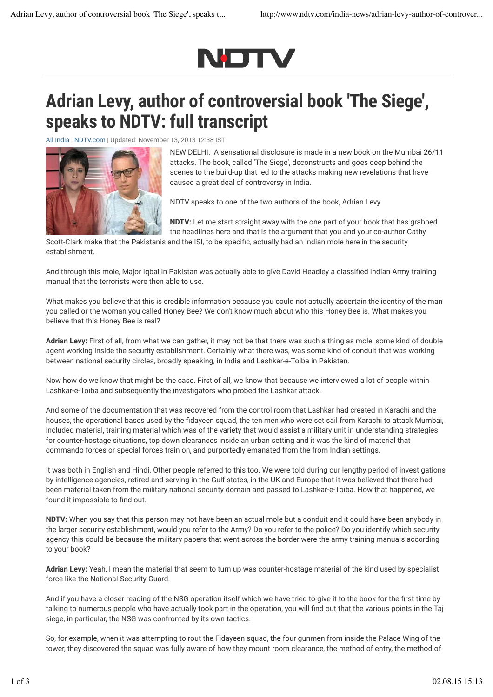

## Adrian Levy, author of controversial book 'The Siege', speaks to NDTV: full transcript

All India | NDTV.com | Updated: November 13, 2013 12:38 IST



NEW DELHI: A sensational disclosure is made in a new book on the Mumbai 26/11 attacks. The book, called 'The Siege', deconstructs and goes deep behind the scenes to the build-up that led to the attacks making new revelations that have caused a great deal of controversy in India.

NDTV speaks to one of the two authors of the book, Adrian Levy.

NDTV: Let me start straight away with the one part of your book that has grabbed the headlines here and that is the argument that you and your co-author Cathy

Scott-Clark make that the Pakistanis and the ISI, to be specific, actually had an Indian mole here in the security establishment.

And through this mole, Major Igbal in Pakistan was actually able to give David Headley a classified Indian Army training manual that the terrorists were then able to use.

What makes you believe that this is credible information because you could not actually ascertain the identity of the man you called or the woman you called Honey Bee? We don't know much about who this Honey Bee is. What makes you believe that this Honey Bee is real?

Adrian Levy: First of all, from what we can gather, it may not be that there was such a thing as mole, some kind of double agent working inside the security establishment. Certainly what there was, was some kind of conduit that was working between national security circles, broadly speaking, in India and Lashkar-e-Toiba in Pakistan.

Now how do we know that might be the case. First of all, we know that because we interviewed a lot of people within Lashkar-e-Toiba and subsequently the investigators who probed the Lashkar attack.

And some of the documentation that was recovered from the control room that Lashkar had created in Karachi and the houses, the operational bases used by the fidayeen squad, the ten men who were set sail from Karachi to attack Mumbai, included material, training material which was of the variety that would assist a military unit in understanding strategies for counter-hostage situations, top down clearances inside an urban setting and it was the kind of material that commando forces or special forces train on, and purportedly emanated from the from Indian settings.

It was both in English and Hindi. Other people referred to this too. We were told during our lengthy period of investigations by intelligence agencies, retired and serving in the Gulf states, in the UK and Europe that it was believed that there had been material taken from the military national security domain and passed to Lashkar-e-Toiba. How that happened, we found it impossible to find out.

NDTV: When you say that this person may not have been an actual mole but a conduit and it could have been anybody in the larger security establishment, would you refer to the Army? Do you refer to the police? Do you identify which security agency this could be because the military papers that went across the border were the army training manuals according to your book?

Adrian Levy: Yeah, I mean the material that seem to turn up was counter-hostage material of the kind used by specialist force like the National Security Guard.

And if you have a closer reading of the NSG operation itself which we have tried to give it to the book for the first time by talking to numerous people who have actually took part in the operation, you will find out that the various points in the Taj siege, in particular, the NSG was confronted by its own tactics.

So, for example, when it was attempting to rout the Fidayeen squad, the four gunmen from inside the Palace Wing of the tower, they discovered the squad was fully aware of how they mount room clearance, the method of entry, the method of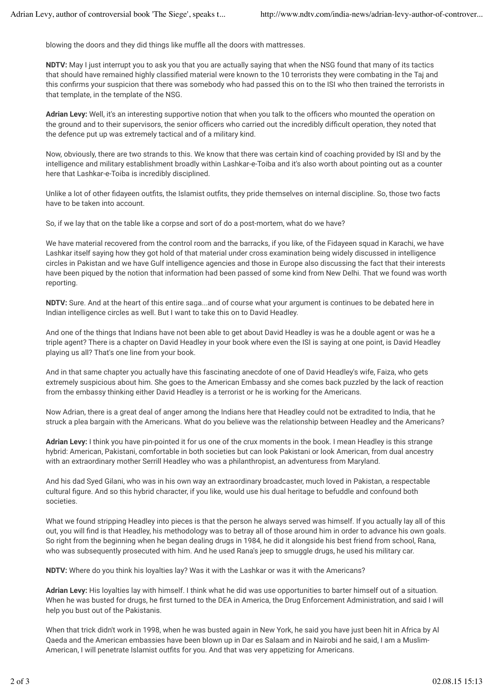blowing the doors and they did things like muffle all the doors with mattresses.

NDTV: May I just interrupt you to ask you that you are actually saying that when the NSG found that many of its tactics that should have remained highly classified material were known to the 10 terrorists they were combating in the Taj and this confirms your suspicion that there was somebody who had passed this on to the ISI who then trained the terrorists in that template, in the template of the NSG.

Adrian Levy: Well, it's an interesting supportive notion that when you talk to the officers who mounted the operation on the ground and to their supervisors, the senior officers who carried out the incredibly difficult operation, they noted that the defence put up was extremely tactical and of a military kind.

Now, obviously, there are two strands to this. We know that there was certain kind of coaching provided by ISI and by the intelligence and military establishment broadly within Lashkar-e-Toiba and it's also worth about pointing out as a counter here that Lashkar-e-Toiba is incredibly disciplined.

Unlike a lot of other fidayeen outfits, the Islamist outfits, they pride themselves on internal discipline. So, those two facts have to be taken into account.

So, if we lay that on the table like a corpse and sort of do a post-mortem, what do we have?

We have material recovered from the control room and the barracks, if you like, of the Fidayeen squad in Karachi, we have Lashkar itself saying how they got hold of that material under cross examination being widely discussed in intelligence circles in Pakistan and we have Gulf intelligence agencies and those in Europe also discussing the fact that their interests have been piqued by the notion that information had been passed of some kind from New Delhi. That we found was worth reporting.

NDTV: Sure. And at the heart of this entire saga...and of course what your argument is continues to be debated here in Indian intelligence circles as well. But I want to take this on to David Headley.

And one of the things that Indians have not been able to get about David Headley is was he a double agent or was he a triple agent? There is a chapter on David Headley in your book where even the ISI is saying at one point, is David Headley playing us all? That's one line from your book.

And in that same chapter you actually have this fascinating anecdote of one of David Headley's wife, Faiza, who gets extremely suspicious about him. She goes to the American Embassy and she comes back puzzled by the lack of reaction from the embassy thinking either David Headley is a terrorist or he is working for the Americans.

Now Adrian, there is a great deal of anger among the Indians here that Headley could not be extradited to India, that he struck a plea bargain with the Americans. What do you believe was the relationship between Headley and the Americans?

Adrian Levy: I think you have pin-pointed it for us one of the crux moments in the book. I mean Headley is this strange hybrid: American, Pakistani, comfortable in both societies but can look Pakistani or look American, from dual ancestry with an extraordinary mother Serrill Headley who was a philanthropist, an adventuress from Maryland.

And his dad Syed Gilani, who was in his own way an extraordinary broadcaster, much loved in Pakistan, a respectable cultural figure. And so this hybrid character, if you like, would use his dual heritage to befuddle and confound both societies.

What we found stripping Headley into pieces is that the person he always served was himself. If you actually lay all of this out, you will find is that Headley, his methodology was to betray all of those around him in order to advance his own goals. So right from the beginning when he began dealing drugs in 1984, he did it alongside his best friend from school, Rana, who was subsequently prosecuted with him. And he used Rana's jeep to smuggle drugs, he used his military car.

NDTV: Where do you think his loyalties lay? Was it with the Lashkar or was it with the Americans?

Adrian Levy: His loyalties lay with himself. I think what he did was use opportunities to barter himself out of a situation. When he was busted for drugs, he first turned to the DEA in America, the Drug Enforcement Administration, and said I will help you bust out of the Pakistanis.

When that trick didn't work in 1998, when he was busted again in New York, he said you have just been hit in Africa by Al Qaeda and the American embassies have been blown up in Dar es Salaam and in Nairobi and he said, I am a Muslim-American, I will penetrate Islamist outfits for you. And that was very appetizing for Americans.